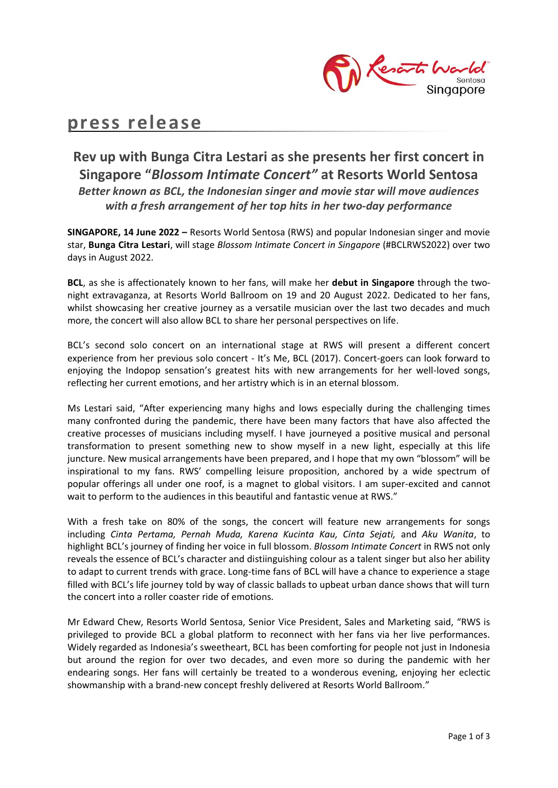

# **press release**

# **Rev up with Bunga Citra Lestari as she presents her first concert in Singapore "***Blossom Intimate Concert"* **at Resorts World Sentosa** *Better known as BCL, the Indonesian singer and movie star will move audiences with a fresh arrangement of her top hits in her two-day performance*

**SINGAPORE, 14 June 2022 –** Resorts World Sentosa (RWS) and popular Indonesian singer and movie star, **Bunga Citra Lestari**, will stage *Blossom Intimate Concert in Singapore* (#BCLRWS2022) over two days in August 2022.

**BCL**, as she is affectionately known to her fans, will make her **debut in Singapore** through the twonight extravaganza, at Resorts World Ballroom on 19 and 20 August 2022. Dedicated to her fans, whilst showcasing her creative journey as a versatile musician over the last two decades and much more, the concert will also allow BCL to share her personal perspectives on life.

BCL's second solo concert on an international stage at RWS will present a different concert experience from her previous solo concert - It's Me, BCL (2017). Concert-goers can look forward to enjoying the Indopop sensation's greatest hits with new arrangements for her well-loved songs, reflecting her current emotions, and her artistry which is in an eternal blossom.

Ms Lestari said, "After experiencing many highs and lows especially during the challenging times many confronted during the pandemic, there have been many factors that have also affected the creative processes of musicians including myself. I have journeyed a positive musical and personal transformation to present something new to show myself in a new light, especially at this life juncture. New musical arrangements have been prepared, and I hope that my own "blossom" will be inspirational to my fans. RWS' compelling leisure proposition, anchored by a wide spectrum of popular offerings all under one roof, is a magnet to global visitors. I am super-excited and cannot wait to perform to the audiences in this beautiful and fantastic venue at RWS."

With a fresh take on 80% of the songs, the concert will feature new arrangements for songs including *Cinta Pertama, Pernah Muda, Karena Kucinta Kau, Cinta Sejati,* and *Aku Wanita*, to highlight BCL's journey of finding her voice in full blossom. *Blossom Intimate Concert* in RWS not only reveals the essence of BCL's character and distiinguishing colour as a talent singer but also her ability to adapt to current trends with grace. Long-time fans of BCL will have a chance to experience a stage filled with BCL's life journey told by way of classic ballads to upbeat urban dance shows that will turn the concert into a roller coaster ride of emotions.

Mr Edward Chew, Resorts World Sentosa, Senior Vice President, Sales and Marketing said, "RWS is privileged to provide BCL a global platform to reconnect with her fans via her live performances. Widely regarded as Indonesia's sweetheart, BCL has been comforting for people not just in Indonesia but around the region for over two decades, and even more so during the pandemic with her endearing songs. Her fans will certainly be treated to a wonderous evening, enjoying her eclectic showmanship with a brand-new concept freshly delivered at Resorts World Ballroom."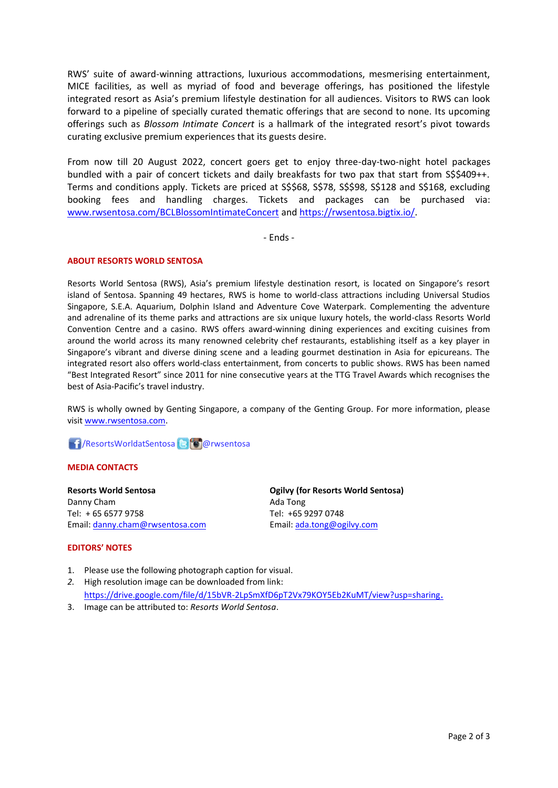RWS' suite of award-winning attractions, luxurious accommodations, mesmerising entertainment, MICE facilities, as well as myriad of food and beverage offerings, has positioned the lifestyle integrated resort as Asia's premium lifestyle destination for all audiences. Visitors to RWS can look forward to a pipeline of specially curated thematic offerings that are second to none. Its upcoming offerings such as *Blossom Intimate Concert* is a hallmark of the integrated resort's pivot towards curating exclusive premium experiences that its guests desire.

From now till 20 August 2022, concert goers get to enjoy three-day-two-night hotel packages bundled with a pair of concert tickets and daily breakfasts for two pax that start from S\$\$409++. Terms and conditions apply. Tickets are priced at S\$\$68, S\$78, S\$\$98, S\$128 and S\$168, excluding booking fees and handling charges. Tickets and packages can be purchased via: [www.rwsentosa.com/BCLBlossomIntimateConcert](http://www.rwsentosa.com/BCLBlossomIntimateConcert) and [https://rwsentosa.bigtix.io/.](https://rwsentosa.bigtix.io/)

- Ends -

### **ABOUT RESORTS WORLD SENTOSA**

Resorts World Sentosa (RWS), Asia's premium lifestyle destination resort, is located on Singapore's resort island of Sentosa. Spanning 49 hectares, RWS is home to world-class attractions including Universal Studios Singapore, S.E.A. Aquarium, Dolphin Island and Adventure Cove Waterpark. Complementing the adventure and adrenaline of its theme parks and attractions are six unique luxury hotels, the world-class Resorts World Convention Centre and a casino. RWS offers award-winning dining experiences and exciting cuisines from around the world across its many renowned celebrity chef restaurants, establishing itself as a key player in Singapore's vibrant and diverse dining scene and a leading gourmet destination in Asia for epicureans. The integrated resort also offers world-class entertainment, from concerts to public shows. RWS has been named "Best Integrated Resort" since 2011 for nine consecutive years at the TTG Travel Awards which recognises the best of Asia-Pacific's travel industry.

RWS is wholly owned by Genting Singapore, a company of the Genting Group. For more information, please visi[t www.rwsentosa.com.](http://www.rwsentosa.com/)

# **f** /ResortsWorldatSentosa **B @**rwsentosa

## **MEDIA CONTACTS**

**Resorts World Sentosa Ogilvy (for Resorts World Sentosa)** Danny Cham **Ada Tong Ada Tong** Tel: + 65 6577 9758 Tel: +65 9297 0748 Email: [danny.cham@rwsentosa.com](mailto:danny.cham@rwsentosa.com) Email[: ada.tong@ogilvy.com](mailto:bening.damardjati@ogilvy.com)

#### **EDITORS' NOTES**

- 1. Please use the following photograph caption for visual.
- *2.* High resolution image can be downloaded from link: <https://drive.google.com/file/d/15bVR-2LpSmXfD6pT2Vx79KOY5Eb2KuMT/view?usp=sharing>.
- 3. Image can be attributed to: *Resorts World Sentosa*.